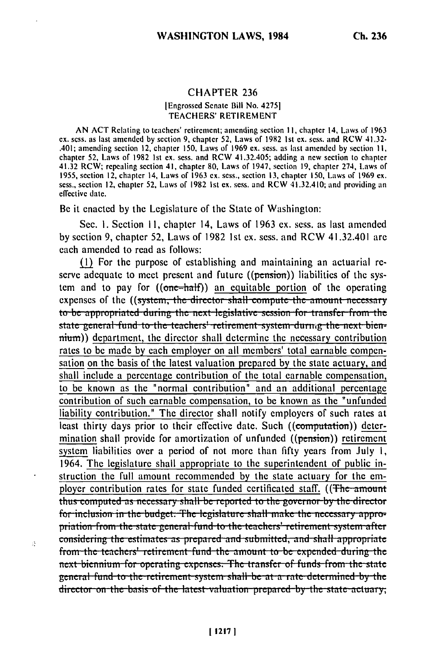## **CHAPTER 236**

## Engrossed Senate Bill No. 4275] **TEACHERS' RETIREMENT**

AN ACT Relating to teachers' retirement; amending section 11, chapter 14, Laws of 1963 ex. sess. as last amended by section 9, chapter 52, Laws of 1982 1st ex. sess. and RCW 41.32-.401; amending section 12, chapter 150, Laws of 1969 ex. sess, as last amended by section 11, chapter 52, Laws of 1982 1st ex. sess. and RCW 41.32.405; adding a new section to chapter 41.32 RCW; repealing section 41, chapter 80, Laws of 1947, section 19, chapter 274, Laws of 1955, section 12, chapter 14, Laws of 1963 ex. sess., section 13, chapter 150, Laws of 1969 ex. sess., section 12, chapter 52, Laws of 1982 1st ex. sess. and RCW 41.32.410; and providing an effective date.

Be it enacted by the Legislature of the State of Washington:

Sec. 1. Section 11, chapter 14, Laws of 1963 ex. sess. as last amended by section 9, chapter 52, Laws of 1982 1st ex. sess. and RCW 41.32.401 are each amended to read as follows:

(1) For the purpose of establishing and maintaining an actuarial reserve adequate to meet present and future ((pension)) liabilities of the system and to pay for  $((one-half))$  an equitable portion of the operating expenses of the ((system, the director shall compute the amount necessary to be appropriated during the next legislative session for transfer from the state general fund to the teachers' retirement system during the next biennium) department, the director shall determine the necessary contribution rates to be made by each employer on all members' total earnable compensation on the basis of the latest valuation prepared by the state actuary, and shall include a percentage contribution of the total earnable compensation, to be known as the "normal contribution" and an additional percentage contribution of such earnable compensation, to be known as the "unfunded" liability contribution." The director shall notify employers of such rates at least thirty days prior to their effective date. Such ((computation)) determination shall provide for amortization of unfunded ((pension)) retirement system liabilities over a period of not more than fifty years from July 1. 1964. The legislature shall appropriate to the superintendent of public instruction the full amount recommended by the state actuary for the employer contribution rates for state funded certificated staff. ((The amount thus computed as necessary shall be reported to the governor by the director for inclusion in the budget. The legislature shall make the necessary appropriation from the state general fund to the teachers' retirement system after considering the estimates as prepared and submitted, and shall appropriate from the teachers' retirement fund the amount to be expended during the next biennium for operating expenses. The transfer of funds from the state general fund to the retirement system shall be at a rate determined by the director on the basis of the latest valuation prepared by the state actuary;

ă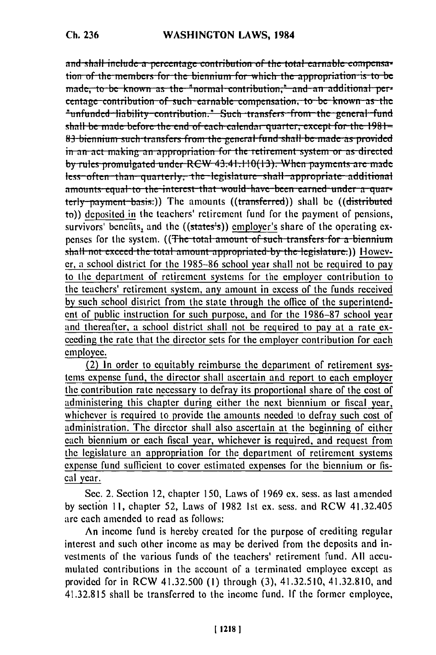$Ch. 236$ 

and shall include a percentage contribution of the total earnable compensation of the members for the biennium for which the appropriation is to be made, to be known as the "normal contribution," and an additional percentage contribution of such earnable compensation, to be known as the "unfunded liability contribution." Such transfers from the general fund shall be made before the end of each calendar quarter, except for the  $1981 =$ 83 biennium such transfers from the general fund shall be made as provided in an act making an appropriation for the retirement system or as directed by rules promulgated under RCW 43.41.110(13). When payments are made less often than quarterly, the legislature shall appropriate additional amounts equal to the interest that would have been earned under a quarterly-payment-basis.)) The amounts ((transferred)) shall be ((distributed to)) denosited in the teachers' retirement fund for the payment of pensions, survivors' benefits, and the ((states's)) employer's share of the operating expenses for the system. ((The total amount of such transfers for a biennium shall-not exceed-the total amount appropriated by the legislature.)) However, a school district for the 1985-86 school year shall not be required to pay to the department of retirement systems for the employer contribution to the teachers' retirement system, any amount in excess of the funds received by such school district from the state through the office of the superintendent of public instruction for such purpose, and for the 1986-87 school year and thereafter, a school district shall not be required to pay at a rate exceeding the rate that the director sets for the employer contribution for each employee.

(2) In order to equitably reimburse the department of retirement systems expense fund, the director shall ascertain and report to each employer the contribution rate necessary to defray its proportional share of the cost of administering this chapter during either the next biennium or fiscal year, whichever is required to provide the amounts needed to defray such cost of administration. The director shall also ascertain at the beginning of either each biennium or each fiscal year, whichever is required, and request from the legislature an appropriation for the department of retirement systems expense fund sufficient to cover estimated expenses for the biennium or fiscal year.

Sec. 2. Section 12, chapter 150, Laws of 1969 ex. sess. as last amended by section 11, chapter 52, Laws of 1982 1st ex. sess. and RCW 41.32.405 are each amended to read as follows:

An income fund is hereby created for the purpose of crediting regular interest and such other income as may be derived from the deposits and investments of the various funds of the teachers' retirement fund. All accumulated contributions in the account of a terminated employee except as provided for in RCW 41.32.500 (1) through (3), 41.32.510, 41.32.810, and 41.32.815 shall be transferred to the income fund. If the former employee,